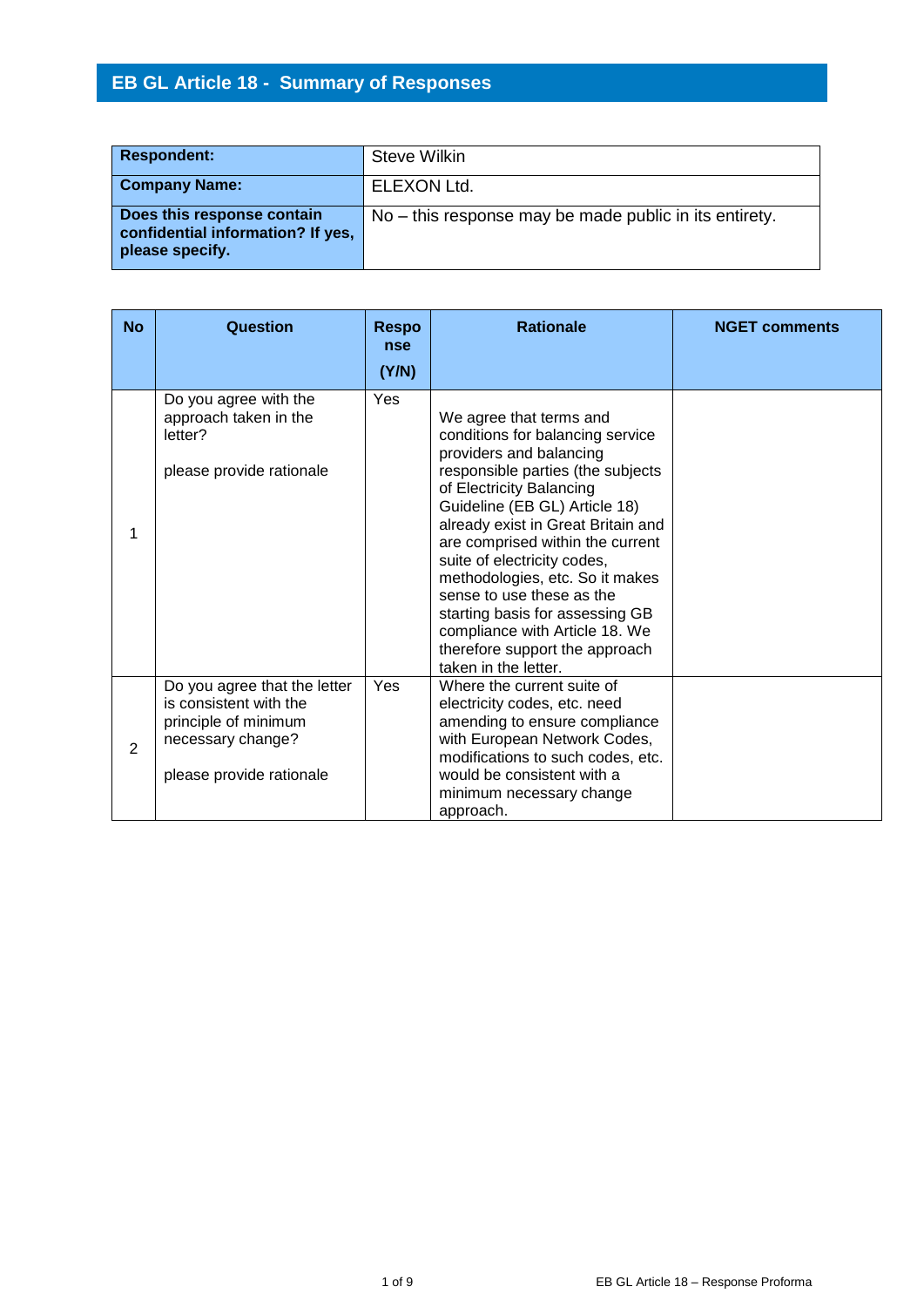# **EB GL Article 18 - Summary of Responses**

| <b>Respondent:</b>                                                                 | <b>Steve Wilkin</b>                                    |
|------------------------------------------------------------------------------------|--------------------------------------------------------|
| <b>Company Name:</b>                                                               | <b>ELEXON Ltd.</b>                                     |
| Does this response contain<br>confidential information? If yes,<br>please specify. | No – this response may be made public in its entirety. |

| <b>No</b>      | Question                                                                                                                        | <b>Respo</b><br><b>nse</b> | <b>Rationale</b>                                                                                                                                                                                                                                                                                                                                                                                                                                                                                 | <b>NGET comments</b> |
|----------------|---------------------------------------------------------------------------------------------------------------------------------|----------------------------|--------------------------------------------------------------------------------------------------------------------------------------------------------------------------------------------------------------------------------------------------------------------------------------------------------------------------------------------------------------------------------------------------------------------------------------------------------------------------------------------------|----------------------|
|                |                                                                                                                                 | (Y/N)                      |                                                                                                                                                                                                                                                                                                                                                                                                                                                                                                  |                      |
| 1              | Do you agree with the<br>approach taken in the<br>letter?<br>please provide rationale                                           | Yes                        | We agree that terms and<br>conditions for balancing service<br>providers and balancing<br>responsible parties (the subjects<br>of Electricity Balancing<br>Guideline (EB GL) Article 18)<br>already exist in Great Britain and<br>are comprised within the current<br>suite of electricity codes,<br>methodologies, etc. So it makes<br>sense to use these as the<br>starting basis for assessing GB<br>compliance with Article 18. We<br>therefore support the approach<br>taken in the letter. |                      |
| $\overline{2}$ | Do you agree that the letter<br>is consistent with the<br>principle of minimum<br>necessary change?<br>please provide rationale | Yes                        | Where the current suite of<br>electricity codes, etc. need<br>amending to ensure compliance<br>with European Network Codes,<br>modifications to such codes, etc.<br>would be consistent with a<br>minimum necessary change<br>approach.                                                                                                                                                                                                                                                          |                      |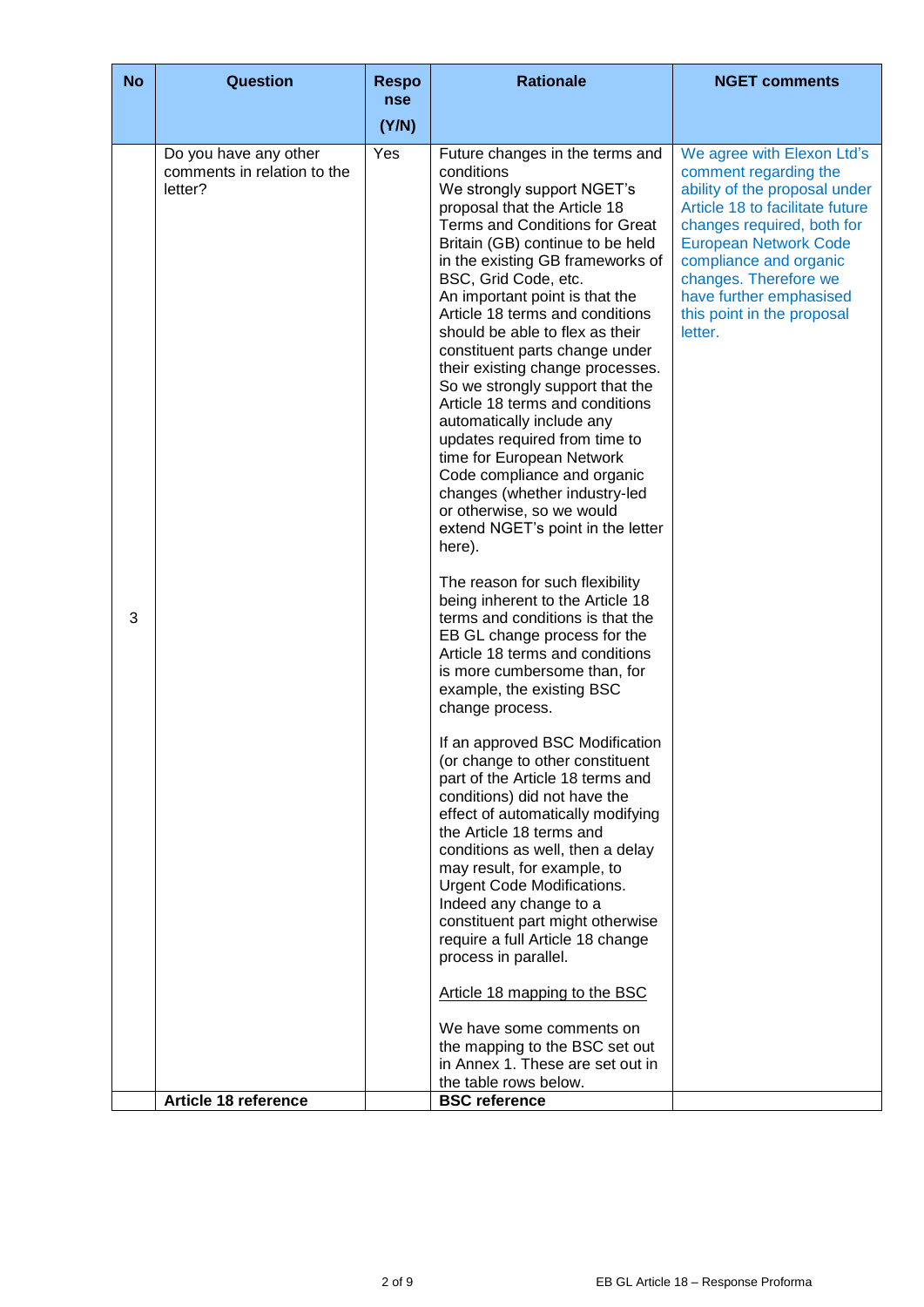| <b>No</b> | <b>Question</b>                                                 | <b>Respo</b>      | <b>Rationale</b>                                                                                                                                                                                                                                                                                                                                                                                                                                                                                                                                                                                                                                                                                                                                                                                                                                                                                                                                                                                                                                                                                                                                                                                                                                      | <b>NGET comments</b>                                                                                                                                                                                                                                                                                         |
|-----------|-----------------------------------------------------------------|-------------------|-------------------------------------------------------------------------------------------------------------------------------------------------------------------------------------------------------------------------------------------------------------------------------------------------------------------------------------------------------------------------------------------------------------------------------------------------------------------------------------------------------------------------------------------------------------------------------------------------------------------------------------------------------------------------------------------------------------------------------------------------------------------------------------------------------------------------------------------------------------------------------------------------------------------------------------------------------------------------------------------------------------------------------------------------------------------------------------------------------------------------------------------------------------------------------------------------------------------------------------------------------|--------------------------------------------------------------------------------------------------------------------------------------------------------------------------------------------------------------------------------------------------------------------------------------------------------------|
|           |                                                                 | (Y/N)             |                                                                                                                                                                                                                                                                                                                                                                                                                                                                                                                                                                                                                                                                                                                                                                                                                                                                                                                                                                                                                                                                                                                                                                                                                                                       |                                                                                                                                                                                                                                                                                                              |
| 3         | Do you have any other<br>comments in relation to the<br>letter? | <b>nse</b><br>Yes | Future changes in the terms and<br>conditions<br>We strongly support NGET's<br>proposal that the Article 18<br>Terms and Conditions for Great<br>Britain (GB) continue to be held<br>in the existing GB frameworks of<br>BSC, Grid Code, etc.<br>An important point is that the<br>Article 18 terms and conditions<br>should be able to flex as their<br>constituent parts change under<br>their existing change processes.<br>So we strongly support that the<br>Article 18 terms and conditions<br>automatically include any<br>updates required from time to<br>time for European Network<br>Code compliance and organic<br>changes (whether industry-led<br>or otherwise, so we would<br>extend NGET's point in the letter<br>here).<br>The reason for such flexibility<br>being inherent to the Article 18<br>terms and conditions is that the<br>EB GL change process for the<br>Article 18 terms and conditions<br>is more cumbersome than, for<br>example, the existing BSC<br>change process.<br>If an approved BSC Modification<br>(or change to other constituent<br>part of the Article 18 terms and<br>conditions) did not have the<br>effect of automatically modifying<br>the Article 18 terms and<br>conditions as well, then a delay | We agree with Elexon Ltd's<br>comment regarding the<br>ability of the proposal under<br>Article 18 to facilitate future<br>changes required, both for<br><b>European Network Code</b><br>compliance and organic<br>changes. Therefore we<br>have further emphasised<br>this point in the proposal<br>letter. |
|           |                                                                 |                   | may result, for example, to<br>Urgent Code Modifications.<br>Indeed any change to a<br>constituent part might otherwise<br>require a full Article 18 change                                                                                                                                                                                                                                                                                                                                                                                                                                                                                                                                                                                                                                                                                                                                                                                                                                                                                                                                                                                                                                                                                           |                                                                                                                                                                                                                                                                                                              |
|           |                                                                 |                   | process in parallel.                                                                                                                                                                                                                                                                                                                                                                                                                                                                                                                                                                                                                                                                                                                                                                                                                                                                                                                                                                                                                                                                                                                                                                                                                                  |                                                                                                                                                                                                                                                                                                              |
|           |                                                                 |                   | Article 18 mapping to the BSC                                                                                                                                                                                                                                                                                                                                                                                                                                                                                                                                                                                                                                                                                                                                                                                                                                                                                                                                                                                                                                                                                                                                                                                                                         |                                                                                                                                                                                                                                                                                                              |
|           |                                                                 |                   | We have some comments on<br>the mapping to the BSC set out<br>in Annex 1. These are set out in<br>the table rows below.                                                                                                                                                                                                                                                                                                                                                                                                                                                                                                                                                                                                                                                                                                                                                                                                                                                                                                                                                                                                                                                                                                                               |                                                                                                                                                                                                                                                                                                              |
|           | Article 18 reference                                            |                   | <b>BSC</b> reference                                                                                                                                                                                                                                                                                                                                                                                                                                                                                                                                                                                                                                                                                                                                                                                                                                                                                                                                                                                                                                                                                                                                                                                                                                  |                                                                                                                                                                                                                                                                                                              |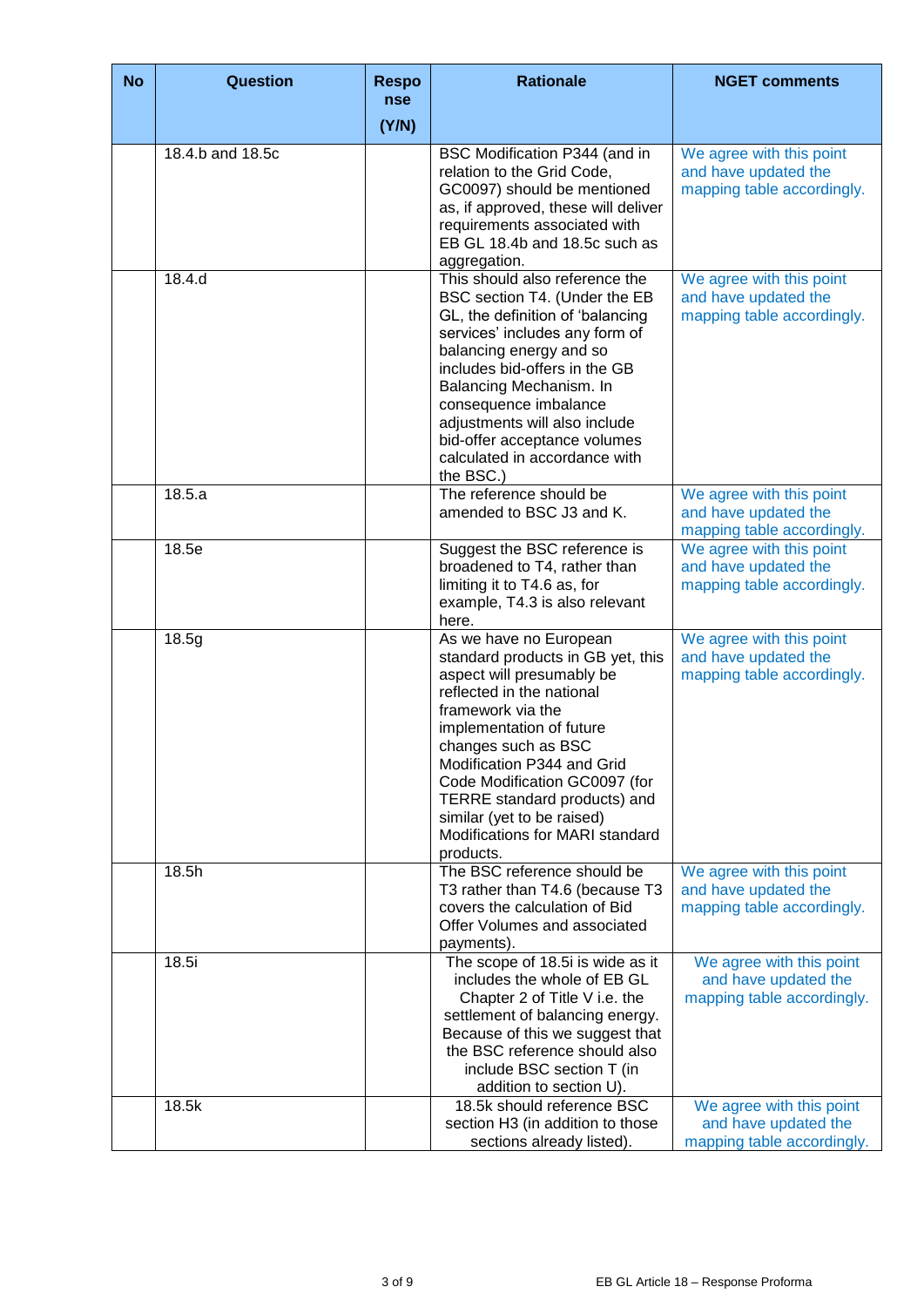| <b>No</b> | Question         | <b>Respo</b><br><b>nse</b> | <b>Rationale</b>                                                                                                                                                                                                                                                                                                                                                           | <b>NGET comments</b>                                                           |
|-----------|------------------|----------------------------|----------------------------------------------------------------------------------------------------------------------------------------------------------------------------------------------------------------------------------------------------------------------------------------------------------------------------------------------------------------------------|--------------------------------------------------------------------------------|
|           |                  | (Y/N)                      |                                                                                                                                                                                                                                                                                                                                                                            |                                                                                |
|           | 18.4.b and 18.5c |                            | BSC Modification P344 (and in<br>relation to the Grid Code,<br>GC0097) should be mentioned<br>as, if approved, these will deliver<br>requirements associated with<br>EB GL 18.4b and 18.5c such as<br>aggregation.                                                                                                                                                         | We agree with this point<br>and have updated the<br>mapping table accordingly. |
|           | 18.4.d           |                            | This should also reference the<br>BSC section T4. (Under the EB<br>GL, the definition of 'balancing<br>services' includes any form of<br>balancing energy and so<br>includes bid-offers in the GB<br>Balancing Mechanism. In<br>consequence imbalance<br>adjustments will also include<br>bid-offer acceptance volumes<br>calculated in accordance with<br>the BSC.)       | We agree with this point<br>and have updated the<br>mapping table accordingly. |
|           | 18.5.a           |                            | The reference should be<br>amended to BSC J3 and K.                                                                                                                                                                                                                                                                                                                        | We agree with this point<br>and have updated the<br>mapping table accordingly. |
|           | 18.5e            |                            | Suggest the BSC reference is<br>broadened to T4, rather than<br>limiting it to T4.6 as, for<br>example, T4.3 is also relevant<br>here.                                                                                                                                                                                                                                     | We agree with this point<br>and have updated the<br>mapping table accordingly. |
|           | 18.5g            |                            | As we have no European<br>standard products in GB yet, this<br>aspect will presumably be<br>reflected in the national<br>framework via the<br>implementation of future<br>changes such as BSC<br>Modification P344 and Grid<br>Code Modification GC0097 (for<br>TERRE standard products) and<br>similar (yet to be raised)<br>Modifications for MARI standard<br>products. | We agree with this point<br>and have updated the<br>mapping table accordingly. |
|           | 18.5h            |                            | The BSC reference should be<br>T3 rather than T4.6 (because T3<br>covers the calculation of Bid<br>Offer Volumes and associated<br>payments).                                                                                                                                                                                                                              | We agree with this point<br>and have updated the<br>mapping table accordingly. |
|           | 18.5i            |                            | The scope of 18.5i is wide as it<br>includes the whole of EB GL<br>Chapter 2 of Title V i.e. the<br>settlement of balancing energy.<br>Because of this we suggest that<br>the BSC reference should also<br>include BSC section T (in<br>addition to section U).                                                                                                            | We agree with this point<br>and have updated the<br>mapping table accordingly. |
|           | 18.5k            |                            | 18.5k should reference BSC<br>section H3 (in addition to those<br>sections already listed).                                                                                                                                                                                                                                                                                | We agree with this point<br>and have updated the<br>mapping table accordingly. |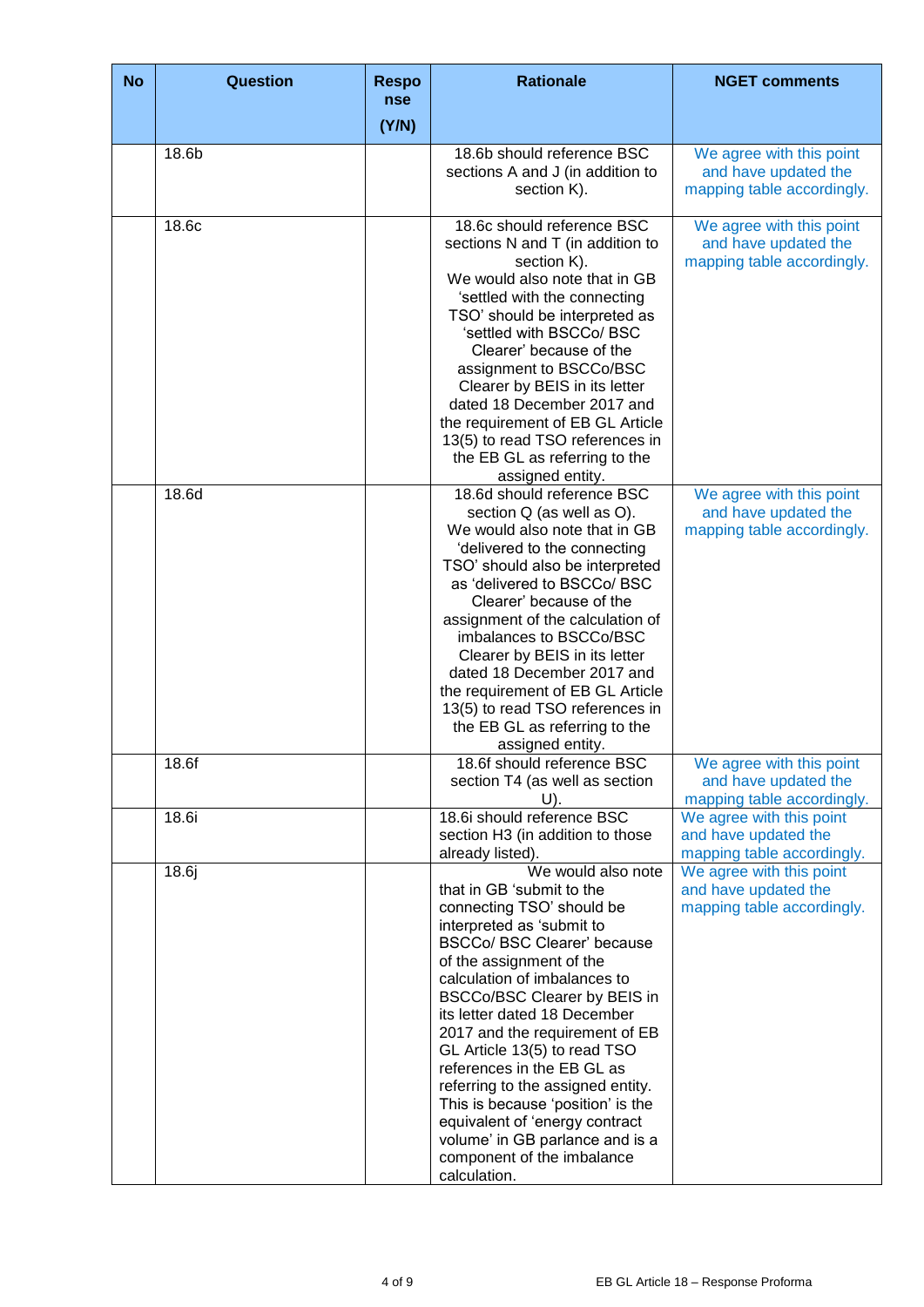| <b>No</b> | <b>Question</b> | <b>Respo</b><br>nse | <b>Rationale</b>                                                                                                                                                                                                                                                                                                                                                                                                                                                                                                                                                         | <b>NGET comments</b>                                                           |
|-----------|-----------------|---------------------|--------------------------------------------------------------------------------------------------------------------------------------------------------------------------------------------------------------------------------------------------------------------------------------------------------------------------------------------------------------------------------------------------------------------------------------------------------------------------------------------------------------------------------------------------------------------------|--------------------------------------------------------------------------------|
|           |                 | (Y/N)               |                                                                                                                                                                                                                                                                                                                                                                                                                                                                                                                                                                          |                                                                                |
|           | 18.6b           |                     | 18.6b should reference BSC<br>sections A and J (in addition to<br>section K).                                                                                                                                                                                                                                                                                                                                                                                                                                                                                            | We agree with this point<br>and have updated the<br>mapping table accordingly. |
|           | 18.6c           |                     | 18.6c should reference BSC<br>sections N and T (in addition to<br>section K).<br>We would also note that in GB<br>'settled with the connecting<br>TSO' should be interpreted as<br>'settled with BSCCo/ BSC<br>Clearer' because of the<br>assignment to BSCCo/BSC<br>Clearer by BEIS in its letter<br>dated 18 December 2017 and<br>the requirement of EB GL Article<br>13(5) to read TSO references in<br>the EB GL as referring to the<br>assigned entity.                                                                                                             | We agree with this point<br>and have updated the<br>mapping table accordingly. |
|           | 18.6d           |                     | 18.6d should reference BSC<br>section Q (as well as O).<br>We would also note that in GB<br>'delivered to the connecting<br>TSO' should also be interpreted<br>as 'delivered to BSCCo/ BSC<br>Clearer' because of the<br>assignment of the calculation of<br>imbalances to BSCCo/BSC<br>Clearer by BEIS in its letter<br>dated 18 December 2017 and<br>the requirement of EB GL Article<br>13(5) to read TSO references in<br>the EB GL as referring to the<br>assigned entity.                                                                                          | We agree with this point<br>and have updated the<br>mapping table accordingly. |
|           | 18.6f           |                     | 18.6f should reference BSC<br>section T4 (as well as section<br>U).                                                                                                                                                                                                                                                                                                                                                                                                                                                                                                      | We agree with this point<br>and have updated the<br>mapping table accordingly. |
|           | 18.6i           |                     | 18.6i should reference BSC<br>section H3 (in addition to those<br>already listed).                                                                                                                                                                                                                                                                                                                                                                                                                                                                                       | We agree with this point<br>and have updated the<br>mapping table accordingly. |
|           | 18.6j           |                     | We would also note<br>that in GB 'submit to the<br>connecting TSO' should be<br>interpreted as 'submit to<br><b>BSCCo/ BSC Clearer' because</b><br>of the assignment of the<br>calculation of imbalances to<br>BSCCo/BSC Clearer by BEIS in<br>its letter dated 18 December<br>2017 and the requirement of EB<br>GL Article 13(5) to read TSO<br>references in the EB GL as<br>referring to the assigned entity.<br>This is because 'position' is the<br>equivalent of 'energy contract<br>volume' in GB parlance and is a<br>component of the imbalance<br>calculation. | We agree with this point<br>and have updated the<br>mapping table accordingly. |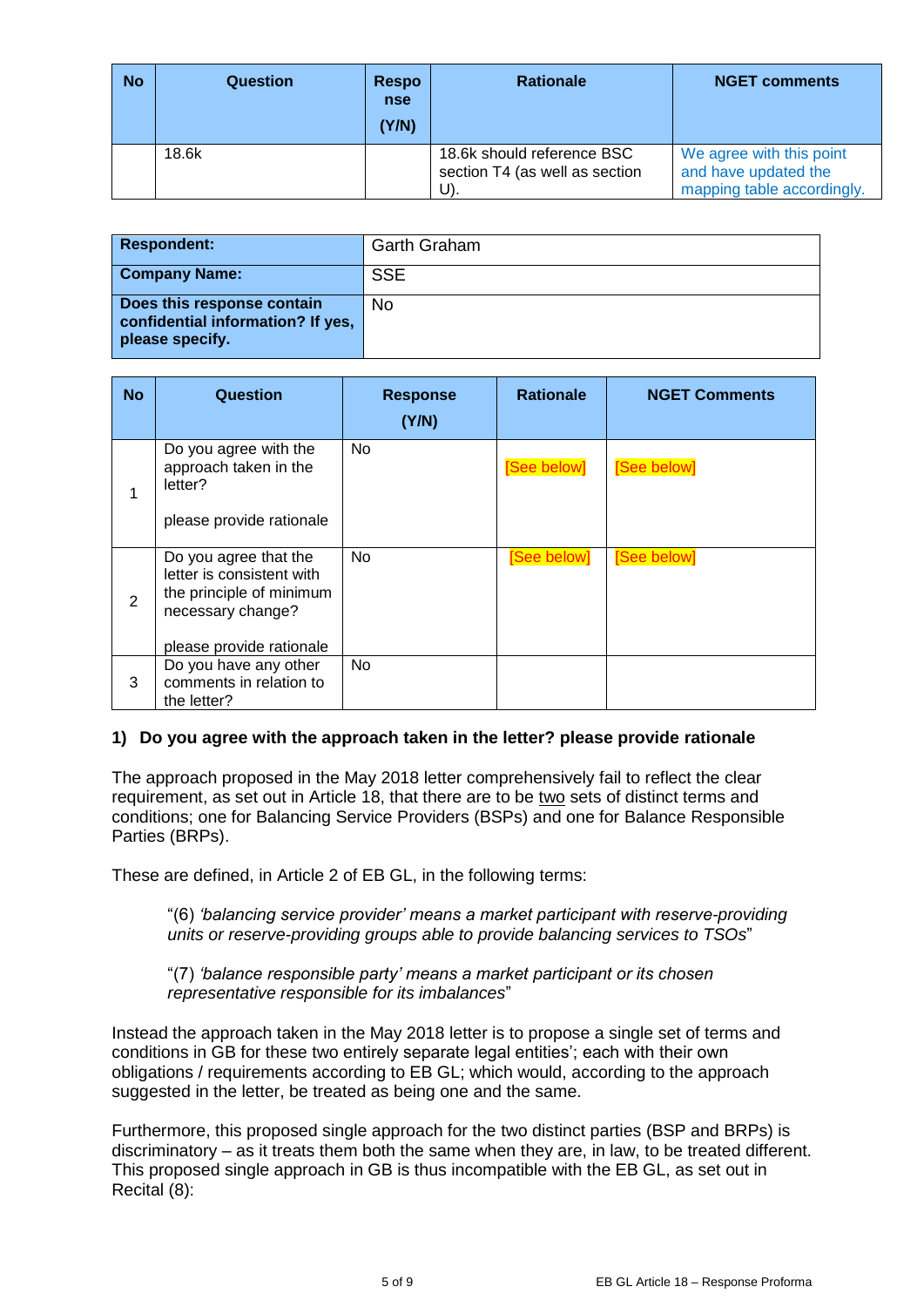| <b>No</b> | Question | <b>Respo</b><br><b>nse</b><br>(Y/N) | <b>Rationale</b>                                             | <b>NGET comments</b>                             |
|-----------|----------|-------------------------------------|--------------------------------------------------------------|--------------------------------------------------|
|           | 18.6k    |                                     | 18.6k should reference BSC<br>section T4 (as well as section | We agree with this point<br>and have updated the |
|           |          |                                     | U)                                                           | mapping table accordingly.                       |

| <b>Respondent:</b>                                                                 | <b>Garth Graham</b> |
|------------------------------------------------------------------------------------|---------------------|
| <b>Company Name:</b>                                                               | <b>SSE</b>          |
| Does this response contain<br>confidential information? If yes,<br>please specify. | <b>No</b>           |

| <b>No</b>      | <b>Question</b>                                                                                                                 | <b>Response</b><br>(Y/N) | <b>Rationale</b> | <b>NGET Comments</b> |
|----------------|---------------------------------------------------------------------------------------------------------------------------------|--------------------------|------------------|----------------------|
|                | Do you agree with the<br>approach taken in the<br>letter?<br>please provide rationale                                           | No.                      | [See below]      | [See below]          |
| $\overline{2}$ | Do you agree that the<br>letter is consistent with<br>the principle of minimum<br>necessary change?<br>please provide rationale | No                       | [See below]      | [See below]          |
| 3              | Do you have any other<br>comments in relation to<br>the letter?                                                                 | No                       |                  |                      |

## **1) Do you agree with the approach taken in the letter? please provide rationale**

The approach proposed in the May 2018 letter comprehensively fail to reflect the clear requirement, as set out in Article 18, that there are to be two sets of distinct terms and conditions; one for Balancing Service Providers (BSPs) and one for Balance Responsible Parties (BRPs).

These are defined, in Article 2 of EB GL, in the following terms:

"(6) *'balancing service provider' means a market participant with reserve-providing units or reserve-providing groups able to provide balancing services to TSOs*"

"(7) *'balance responsible party' means a market participant or its chosen representative responsible for its imbalances*"

Instead the approach taken in the May 2018 letter is to propose a single set of terms and conditions in GB for these two entirely separate legal entities'; each with their own obligations / requirements according to EB GL; which would, according to the approach suggested in the letter, be treated as being one and the same.

Furthermore, this proposed single approach for the two distinct parties (BSP and BRPs) is discriminatory – as it treats them both the same when they are, in law, to be treated different. This proposed single approach in GB is thus incompatible with the EB GL, as set out in Recital (8):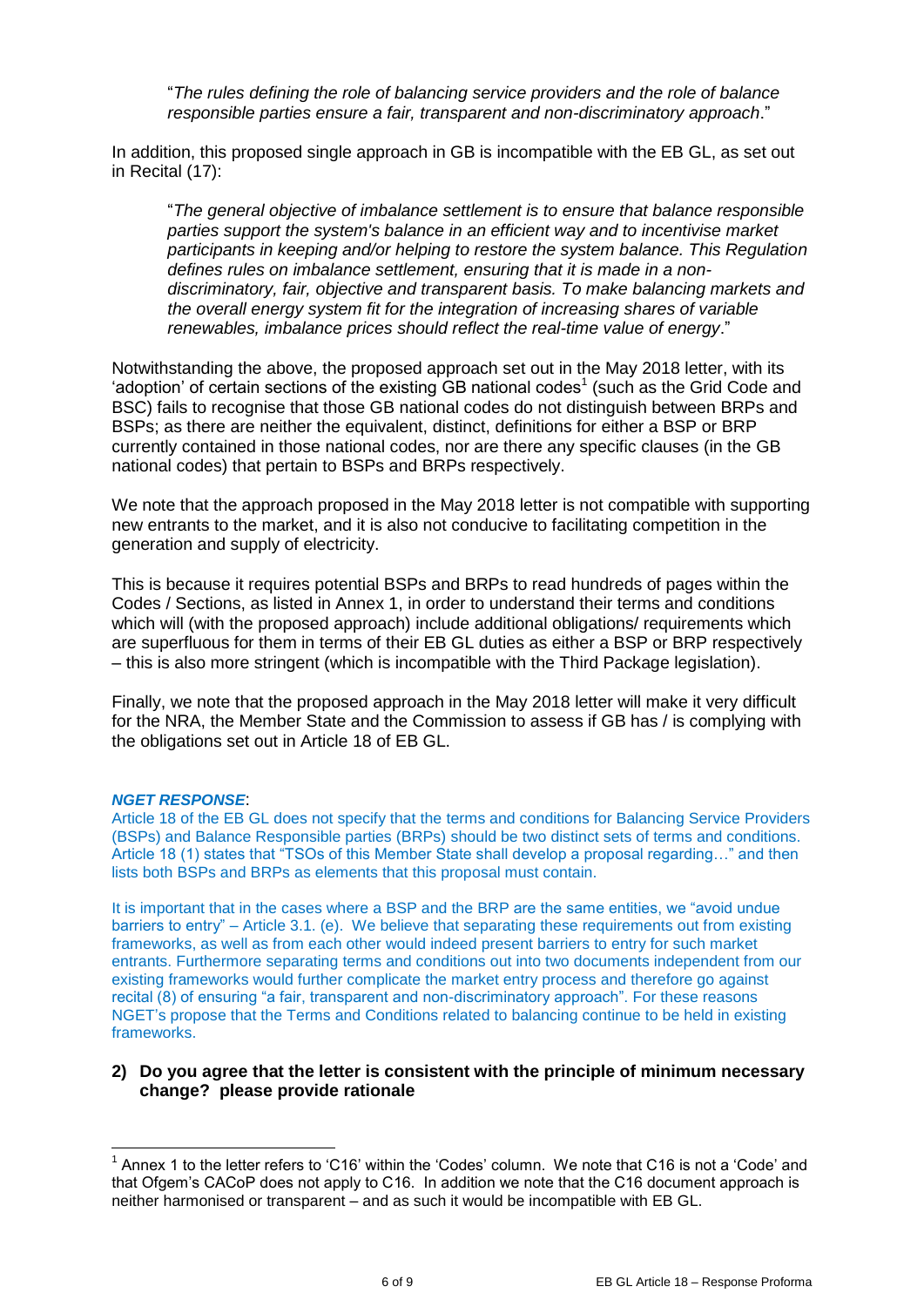"*The rules defining the role of balancing service providers and the role of balance responsible parties ensure a fair, transparent and non-discriminatory approach*."

In addition, this proposed single approach in GB is incompatible with the EB GL, as set out in Recital (17):

"*The general objective of imbalance settlement is to ensure that balance responsible parties support the system's balance in an efficient way and to incentivise market participants in keeping and/or helping to restore the system balance. This Regulation defines rules on imbalance settlement, ensuring that it is made in a nondiscriminatory, fair, objective and transparent basis. To make balancing markets and the overall energy system fit for the integration of increasing shares of variable renewables, imbalance prices should reflect the real-time value of energy*."

Notwithstanding the above, the proposed approach set out in the May 2018 letter, with its 'adoption' of certain sections of the existing GB national codes<sup>1</sup> (such as the Grid Code and BSC) fails to recognise that those GB national codes do not distinguish between BRPs and BSPs; as there are neither the equivalent, distinct, definitions for either a BSP or BRP currently contained in those national codes, nor are there any specific clauses (in the GB national codes) that pertain to BSPs and BRPs respectively.

We note that the approach proposed in the May 2018 letter is not compatible with supporting new entrants to the market, and it is also not conducive to facilitating competition in the generation and supply of electricity.

This is because it requires potential BSPs and BRPs to read hundreds of pages within the Codes / Sections, as listed in Annex 1, in order to understand their terms and conditions which will (with the proposed approach) include additional obligations/ requirements which are superfluous for them in terms of their EB GL duties as either a BSP or BRP respectively – this is also more stringent (which is incompatible with the Third Package legislation).

Finally, we note that the proposed approach in the May 2018 letter will make it very difficult for the NRA, the Member State and the Commission to assess if GB has / is complying with the obligations set out in Article 18 of EB GL.

#### *NGET RESPONSE*:

-

Article 18 of the EB GL does not specify that the terms and conditions for Balancing Service Providers (BSPs) and Balance Responsible parties (BRPs) should be two distinct sets of terms and conditions. Article 18 (1) states that "TSOs of this Member State shall develop a proposal regarding…" and then lists both BSPs and BRPs as elements that this proposal must contain.

It is important that in the cases where a BSP and the BRP are the same entities, we "avoid undue barriers to entry" – Article 3.1. (e). We believe that separating these requirements out from existing frameworks, as well as from each other would indeed present barriers to entry for such market entrants. Furthermore separating terms and conditions out into two documents independent from our existing frameworks would further complicate the market entry process and therefore go against recital (8) of ensuring "a fair, transparent and non-discriminatory approach". For these reasons NGET's propose that the Terms and Conditions related to balancing continue to be held in existing frameworks.

### **2) Do you agree that the letter is consistent with the principle of minimum necessary change? please provide rationale**

<sup>&</sup>lt;sup>1</sup> Annex 1 to the letter refers to 'C16' within the 'Codes' column. We note that C16 is not a 'Code' and that Ofgem's CACoP does not apply to C16. In addition we note that the C16 document approach is neither harmonised or transparent – and as such it would be incompatible with EB GL.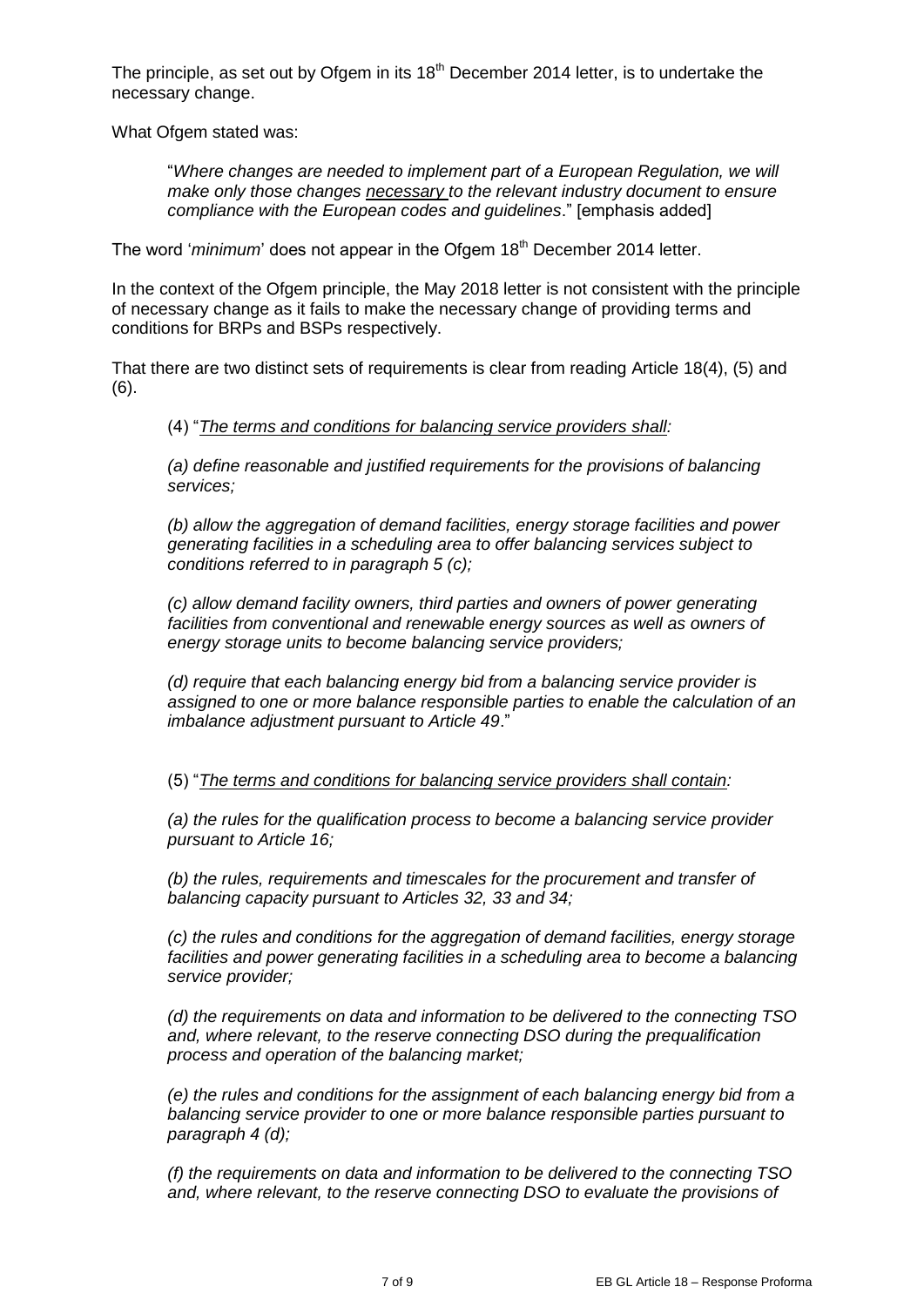The principle, as set out by Ofgem in its  $18<sup>th</sup>$  December 2014 letter, is to undertake the necessary change.

What Ofgem stated was:

"*Where changes are needed to implement part of a European Regulation, we will make only those changes necessary to the relevant industry document to ensure compliance with the European codes and guidelines*." [emphasis added]

The word '*minimum*' does not appear in the Ofgem 18<sup>th</sup> December 2014 letter.

In the context of the Ofgem principle, the May 2018 letter is not consistent with the principle of necessary change as it fails to make the necessary change of providing terms and conditions for BRPs and BSPs respectively.

That there are two distinct sets of requirements is clear from reading Article 18(4), (5) and (6).

### (4) "*The terms and conditions for balancing service providers shall:*

*(a) define reasonable and justified requirements for the provisions of balancing services;* 

*(b) allow the aggregation of demand facilities, energy storage facilities and power generating facilities in a scheduling area to offer balancing services subject to conditions referred to in paragraph 5 (c);* 

*(c) allow demand facility owners, third parties and owners of power generating*  facilities from conventional and renewable energy sources as well as owners of *energy storage units to become balancing service providers;* 

*(d) require that each balancing energy bid from a balancing service provider is assigned to one or more balance responsible parties to enable the calculation of an imbalance adjustment pursuant to Article 49*."

(5) "*The terms and conditions for balancing service providers shall contain:* 

*(a) the rules for the qualification process to become a balancing service provider pursuant to Article 16;* 

*(b) the rules, requirements and timescales for the procurement and transfer of balancing capacity pursuant to Articles 32, 33 and 34;* 

*(c) the rules and conditions for the aggregation of demand facilities, energy storage*  facilities and power generating facilities in a scheduling area to become a balancing *service provider;* 

*(d) the requirements on data and information to be delivered to the connecting TSO and, where relevant, to the reserve connecting DSO during the prequalification process and operation of the balancing market;* 

*(e) the rules and conditions for the assignment of each balancing energy bid from a balancing service provider to one or more balance responsible parties pursuant to paragraph 4 (d);* 

*(f) the requirements on data and information to be delivered to the connecting TSO and, where relevant, to the reserve connecting DSO to evaluate the provisions of*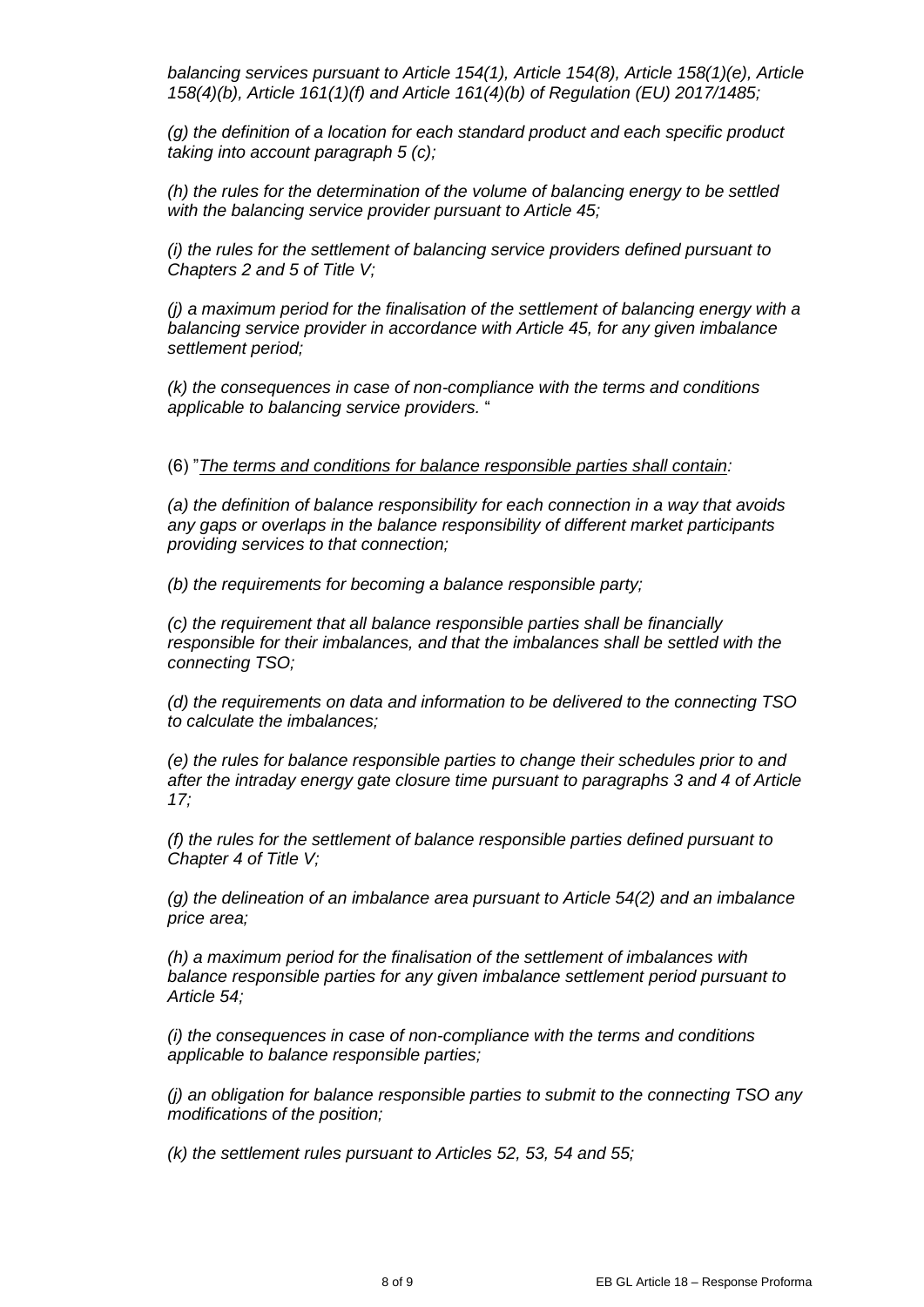*balancing services pursuant to Article 154(1), Article 154(8), Article 158(1)(e), Article 158(4)(b), Article 161(1)(f) and Article 161(4)(b) of Regulation (EU) 2017/1485;* 

*(g) the definition of a location for each standard product and each specific product taking into account paragraph 5 (c);* 

*(h) the rules for the determination of the volume of balancing energy to be settled with the balancing service provider pursuant to Article 45;* 

*(i) the rules for the settlement of balancing service providers defined pursuant to Chapters 2 and 5 of Title V;* 

*(j) a maximum period for the finalisation of the settlement of balancing energy with a balancing service provider in accordance with Article 45, for any given imbalance settlement period;* 

*(k) the consequences in case of non-compliance with the terms and conditions applicable to balancing service providers.* "

(6) "*The terms and conditions for balance responsible parties shall contain:* 

*(a) the definition of balance responsibility for each connection in a way that avoids any gaps or overlaps in the balance responsibility of different market participants providing services to that connection;* 

*(b) the requirements for becoming a balance responsible party;* 

*(c) the requirement that all balance responsible parties shall be financially responsible for their imbalances, and that the imbalances shall be settled with the connecting TSO;* 

*(d) the requirements on data and information to be delivered to the connecting TSO to calculate the imbalances;* 

*(e) the rules for balance responsible parties to change their schedules prior to and after the intraday energy gate closure time pursuant to paragraphs 3 and 4 of Article 17;* 

*(f) the rules for the settlement of balance responsible parties defined pursuant to Chapter 4 of Title V;* 

*(g) the delineation of an imbalance area pursuant to Article 54(2) and an imbalance price area;* 

*(h) a maximum period for the finalisation of the settlement of imbalances with balance responsible parties for any given imbalance settlement period pursuant to Article 54;* 

*(i) the consequences in case of non-compliance with the terms and conditions applicable to balance responsible parties;* 

*(j) an obligation for balance responsible parties to submit to the connecting TSO any modifications of the position;* 

*(k) the settlement rules pursuant to Articles 52, 53, 54 and 55;*